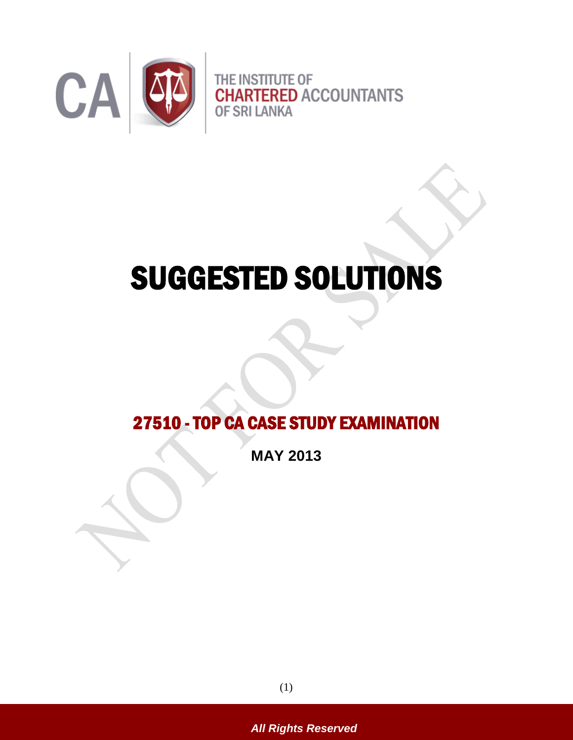

# SUGGESTED SOLUTIONS

# 27510 - TOP CA CASE STUDY EXAMINATION

**MAY 2013**

(1)

*All Rights Reserved*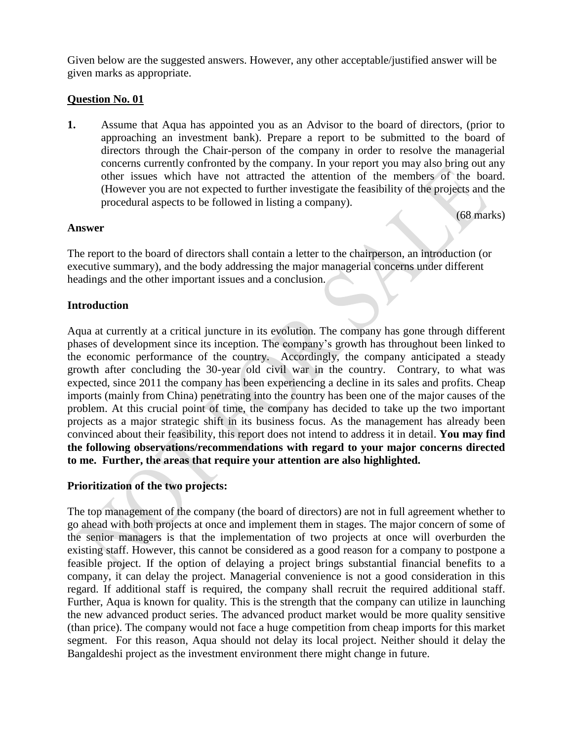Given below are the suggested answers. However, any other acceptable/justified answer will be given marks as appropriate.

#### **Question No. 01**

**1.** Assume that Aqua has appointed you as an Advisor to the board of directors, (prior to approaching an investment bank). Prepare a report to be submitted to the board of directors through the Chair-person of the company in order to resolve the managerial concerns currently confronted by the company. In your report you may also bring out any other issues which have not attracted the attention of the members of the board. (However you are not expected to further investigate the feasibility of the projects and the procedural aspects to be followed in listing a company).

(68 marks)

#### **Answer**

The report to the board of directors shall contain a letter to the chairperson, an introduction (or executive summary), and the body addressing the major managerial concerns under different headings and the other important issues and a conclusion.

#### **Introduction**

Aqua at currently at a critical juncture in its evolution. The company has gone through different phases of development since its inception. The company's growth has throughout been linked to the economic performance of the country. Accordingly, the company anticipated a steady growth after concluding the 30-year old civil war in the country. Contrary, to what was expected, since 2011 the company has been experiencing a decline in its sales and profits. Cheap imports (mainly from China) penetrating into the country has been one of the major causes of the problem. At this crucial point of time, the company has decided to take up the two important projects as a major strategic shift in its business focus. As the management has already been convinced about their feasibility, this report does not intend to address it in detail. **You may find the following observations/recommendations with regard to your major concerns directed to me. Further, the areas that require your attention are also highlighted.** 

# **Prioritization of the two projects:**

The top management of the company (the board of directors) are not in full agreement whether to go ahead with both projects at once and implement them in stages. The major concern of some of the senior managers is that the implementation of two projects at once will overburden the existing staff. However, this cannot be considered as a good reason for a company to postpone a feasible project. If the option of delaying a project brings substantial financial benefits to a company, it can delay the project. Managerial convenience is not a good consideration in this regard. If additional staff is required, the company shall recruit the required additional staff. Further, Aqua is known for quality. This is the strength that the company can utilize in launching the new advanced product series. The advanced product market would be more quality sensitive (than price). The company would not face a huge competition from cheap imports for this market segment. For this reason, Aqua should not delay its local project. Neither should it delay the Bangaldeshi project as the investment environment there might change in future.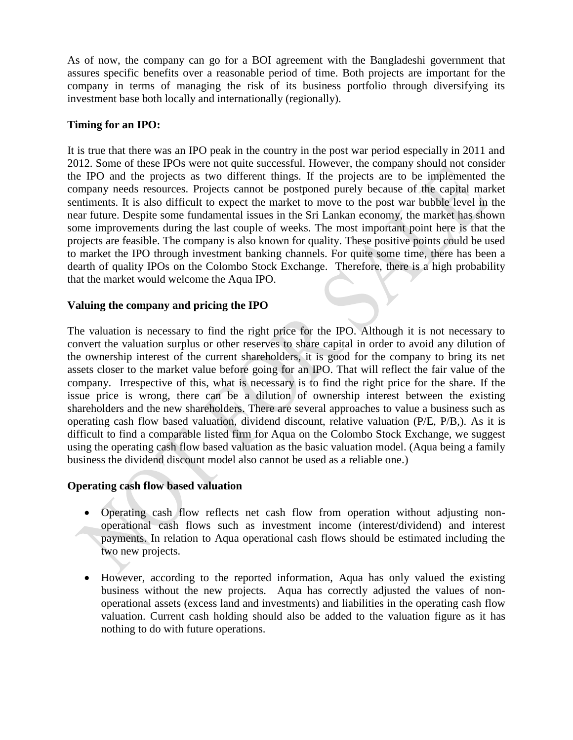As of now, the company can go for a BOI agreement with the Bangladeshi government that assures specific benefits over a reasonable period of time. Both projects are important for the company in terms of managing the risk of its business portfolio through diversifying its investment base both locally and internationally (regionally).

#### **Timing for an IPO:**

It is true that there was an IPO peak in the country in the post war period especially in 2011 and 2012. Some of these IPOs were not quite successful. However, the company should not consider the IPO and the projects as two different things. If the projects are to be implemented the company needs resources. Projects cannot be postponed purely because of the capital market sentiments. It is also difficult to expect the market to move to the post war bubble level in the near future. Despite some fundamental issues in the Sri Lankan economy, the market has shown some improvements during the last couple of weeks. The most important point here is that the projects are feasible. The company is also known for quality. These positive points could be used to market the IPO through investment banking channels. For quite some time, there has been a dearth of quality IPOs on the Colombo Stock Exchange. Therefore, there is a high probability that the market would welcome the Aqua IPO.

#### **Valuing the company and pricing the IPO**

The valuation is necessary to find the right price for the IPO. Although it is not necessary to convert the valuation surplus or other reserves to share capital in order to avoid any dilution of the ownership interest of the current shareholders, it is good for the company to bring its net assets closer to the market value before going for an IPO. That will reflect the fair value of the company. Irrespective of this, what is necessary is to find the right price for the share. If the issue price is wrong, there can be a dilution of ownership interest between the existing shareholders and the new shareholders. There are several approaches to value a business such as operating cash flow based valuation, dividend discount, relative valuation (P/E, P/B,). As it is difficult to find a comparable listed firm for Aqua on the Colombo Stock Exchange, we suggest using the operating cash flow based valuation as the basic valuation model. (Aqua being a family business the dividend discount model also cannot be used as a reliable one.)

# **Operating cash flow based valuation**

- Operating cash flow reflects net cash flow from operation without adjusting nonoperational cash flows such as investment income (interest/dividend) and interest payments. In relation to Aqua operational cash flows should be estimated including the two new projects.
- However, according to the reported information, Aqua has only valued the existing business without the new projects. Aqua has correctly adjusted the values of nonoperational assets (excess land and investments) and liabilities in the operating cash flow valuation. Current cash holding should also be added to the valuation figure as it has nothing to do with future operations.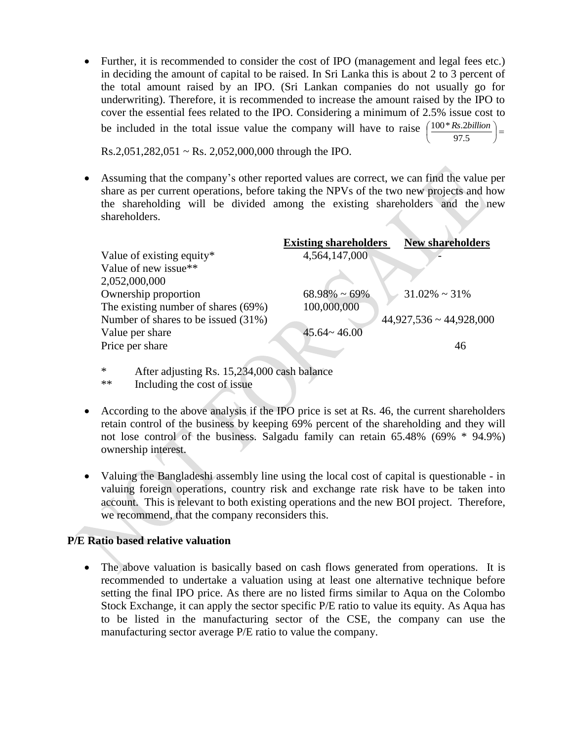• Further, it is recommended to consider the cost of IPO (management and legal fees etc.) in deciding the amount of capital to be raised. In Sri Lanka this is about 2 to 3 percent of the total amount raised by an IPO. (Sri Lankan companies do not usually go for underwriting). Therefore, it is recommended to increase the amount raised by the IPO to cover the essential fees related to the IPO. Considering a minimum of 2.5% issue cost to be included in the total issue value the company will have to raise  $\left(\frac{100 * Rs. 2 billion}{97.5}\right)$  $\left(\frac{100 * Rs. 2 billion}{97.5}\right)$ ſ 97.5 100\**Rs*.2*billion*

 $Rs.2,051,282,051 \sim Rs. 2,052,000,000$  through the IPO.

 Assuming that the company's other reported values are correct, we can find the value per share as per current operations, before taking the NPVs of the two new projects and how the shareholding will be divided among the existing shareholders and the new shareholders.

|                                     | <b>Existing shareholders</b> | <b>New shareholders</b>      |
|-------------------------------------|------------------------------|------------------------------|
| Value of existing equity*           | 4,564,147,000                |                              |
| Value of new issue**                |                              |                              |
| 2,052,000,000                       |                              |                              |
| Ownership proportion                | $68.98\% \sim 69\%$          | $31.02\% \sim 31\%$          |
| The existing number of shares (69%) | 100,000,000                  |                              |
| Number of shares to be issued (31%) |                              | $44,927,536 \sim 44,928,000$ |
| Value per share                     | $45.64 \times 46.00$         |                              |
| Price per share                     |                              | 46                           |
|                                     |                              |                              |

- \* After adjusting Rs. 15,234,000 cash balance
- \*\* Including the cost of issue
- According to the above analysis if the IPO price is set at Rs. 46, the current shareholders retain control of the business by keeping 69% percent of the shareholding and they will not lose control of the business. Salgadu family can retain 65.48% (69% \* 94.9%) ownership interest.
- Valuing the Bangladeshi assembly line using the local cost of capital is questionable in valuing foreign operations, country risk and exchange rate risk have to be taken into account. This is relevant to both existing operations and the new BOI project. Therefore, we recommend, that the company reconsiders this.

# **P/E Ratio based relative valuation**

• The above valuation is basically based on cash flows generated from operations. It is recommended to undertake a valuation using at least one alternative technique before setting the final IPO price. As there are no listed firms similar to Aqua on the Colombo Stock Exchange, it can apply the sector specific P/E ratio to value its equity. As Aqua has to be listed in the manufacturing sector of the CSE, the company can use the manufacturing sector average P/E ratio to value the company.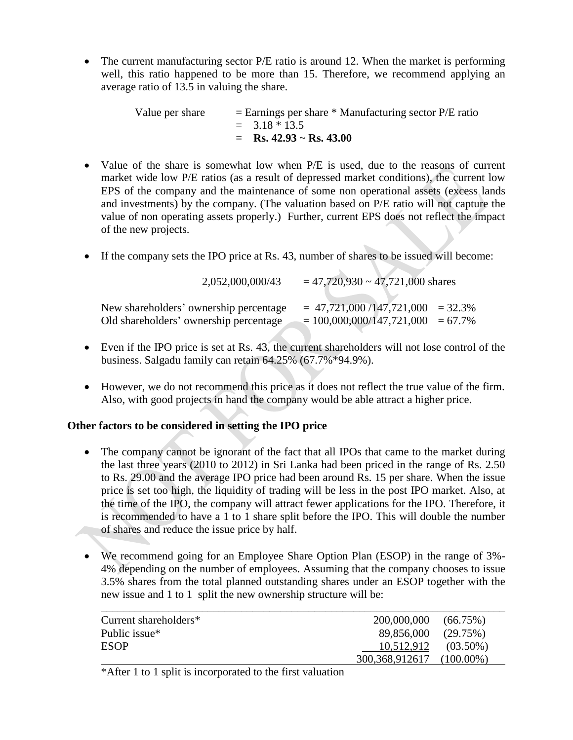• The current manufacturing sector P/E ratio is around 12. When the market is performing well, this ratio happened to be more than 15. Therefore, we recommend applying an average ratio of 13.5 in valuing the share.

> Value per share  $=$  Earnings per share  $*$  Manufacturing sector P/E ratio  $= 3.18 * 13.5$  $=$  **Rs.** 42.93 ~ **Rs.** 43.00

- Value of the share is somewhat low when P/E is used, due to the reasons of current market wide low P/E ratios (as a result of depressed market conditions), the current low EPS of the company and the maintenance of some non operational assets (excess lands and investments) by the company. (The valuation based on P/E ratio will not capture the value of non operating assets properly.) Further, current EPS does not reflect the impact of the new projects.
- If the company sets the IPO price at Rs. 43, number of shares to be issued will become:

|                                                                                  | 2,052,000,000/43 | $= 47,720,930 \sim 47,721,000$ shares                                       |  |
|----------------------------------------------------------------------------------|------------------|-----------------------------------------------------------------------------|--|
| New shareholders' ownership percentage<br>Old shareholders' ownership percentage |                  | $= 47,721,000/147,721,000 = 32.3\%$<br>$= 100,000,000/147,721,000 = 67.7\%$ |  |

- Even if the IPO price is set at Rs. 43, the current shareholders will not lose control of the business. Salgadu family can retain 64.25% (67.7%\*94.9%).
- However, we do not recommend this price as it does not reflect the true value of the firm. Also, with good projects in hand the company would be able attract a higher price.

# **Other factors to be considered in setting the IPO price**

- The company cannot be ignorant of the fact that all IPOs that came to the market during the last three years (2010 to 2012) in Sri Lanka had been priced in the range of Rs. 2.50 to Rs. 29.00 and the average IPO price had been around Rs. 15 per share. When the issue price is set too high, the liquidity of trading will be less in the post IPO market. Also, at the time of the IPO, the company will attract fewer applications for the IPO. Therefore, it is recommended to have a 1 to 1 share split before the IPO. This will double the number of shares and reduce the issue price by half.
- We recommend going for an Employee Share Option Plan (ESOP) in the range of 3%- 4% depending on the number of employees. Assuming that the company chooses to issue 3.5% shares from the total planned outstanding shares under an ESOP together with the new issue and 1 to 1 split the new ownership structure will be:

| Current shareholders* | 200,000,000              | $(66.75\%)$  |
|-----------------------|--------------------------|--------------|
| Public issue*         | 89,856,000               | (29.75%)     |
| ESOP                  | $10,512,912$ $(03.50\%)$ |              |
|                       | 300,368,912617           | $(100.00\%)$ |

\*After 1 to 1 split is incorporated to the first valuation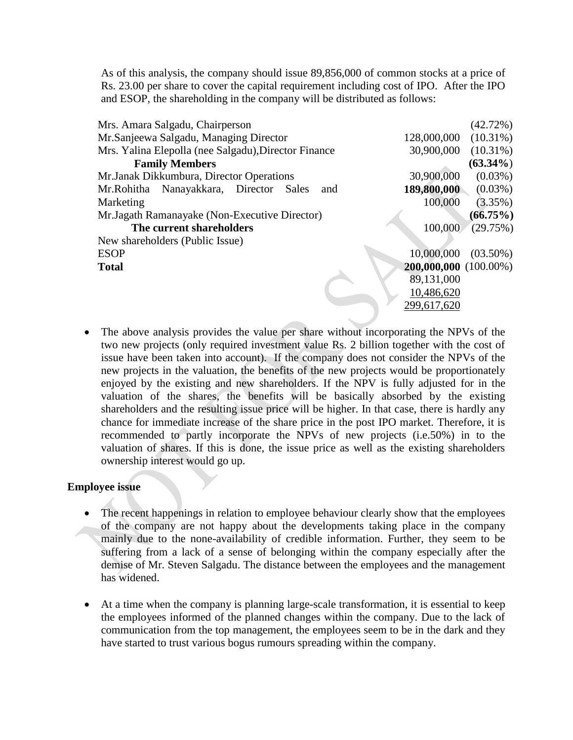As of this analysis, the company should issue 89,856,000 of common stocks at a price of Rs. 23.00 per share to cover the capital requirement including cost of IPO. After the IPO and ESOP, the shareholding in the company will be distributed as follows:

| Mrs. Amara Salgadu, Chairperson                      |                       | $(42.72\%)$ |
|------------------------------------------------------|-----------------------|-------------|
| Mr.Sanjeewa Salgadu, Managing Director               | 128,000,000           | $(10.31\%)$ |
| Mrs. Yalina Elepolla (nee Salgadu), Director Finance | 30,900,000            | $(10.31\%)$ |
| <b>Family Members</b>                                |                       | $(63.34\%)$ |
| Mr. Janak Dikkumbura, Director Operations            | 30,900,000            | $(0.03\%)$  |
| Nanayakkara, Director<br>Mr.Rohitha<br>Sales<br>and  | 189,800,000           | $(0.03\%)$  |
| Marketing                                            | 100,000               | $(3.35\%)$  |
| Mr. Jagath Ramanayake (Non-Executive Director)       |                       | $(66.75\%)$ |
| The current shareholders                             | 100,000               | (29.75%)    |
| New shareholders (Public Issue)                      |                       |             |
| <b>ESOP</b>                                          | 10,000,000            | $(03.50\%)$ |
| <b>Total</b>                                         | 200,000,000 (100.00%) |             |
|                                                      | 89,131,000            |             |
|                                                      | 10,486,620            |             |
|                                                      | 299,617,620           |             |

• The above analysis provides the value per share without incorporating the NPVs of the two new projects (only required investment value Rs. 2 billion together with the cost of issue have been taken into account). If the company does not consider the NPVs of the new projects in the valuation, the benefits of the new projects would be proportionately enjoyed by the existing and new shareholders. If the NPV is fully adjusted for in the valuation of the shares, the benefits will be basically absorbed by the existing shareholders and the resulting issue price will be higher. In that case, there is hardly any chance for immediate increase of the share price in the post IPO market. Therefore, it is recommended to partly incorporate the NPVs of new projects (i.e.50%) in to the valuation of shares. If this is done, the issue price as well as the existing shareholders ownership interest would go up.

#### **Employee issue**

- The recent happenings in relation to employee behaviour clearly show that the employees of the company are not happy about the developments taking place in the company mainly due to the none-availability of credible information. Further, they seem to be suffering from a lack of a sense of belonging within the company especially after the demise of Mr. Steven Salgadu. The distance between the employees and the management has widened.
- At a time when the company is planning large-scale transformation, it is essential to keep the employees informed of the planned changes within the company. Due to the lack of communication from the top management, the employees seem to be in the dark and they have started to trust various bogus rumours spreading within the company.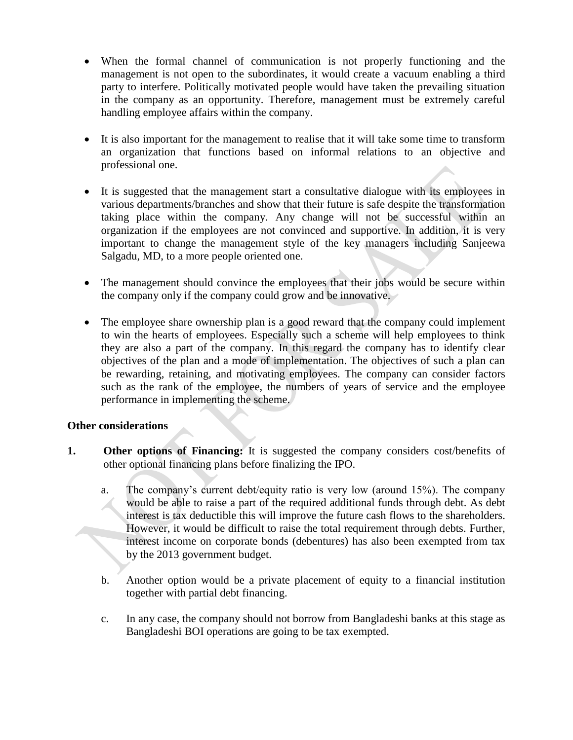- When the formal channel of communication is not properly functioning and the management is not open to the subordinates, it would create a vacuum enabling a third party to interfere. Politically motivated people would have taken the prevailing situation in the company as an opportunity. Therefore, management must be extremely careful handling employee affairs within the company.
- It is also important for the management to realise that it will take some time to transform an organization that functions based on informal relations to an objective and professional one.
- It is suggested that the management start a consultative dialogue with its employees in various departments/branches and show that their future is safe despite the transformation taking place within the company. Any change will not be successful within an organization if the employees are not convinced and supportive. In addition, it is very important to change the management style of the key managers including Sanjeewa Salgadu, MD, to a more people oriented one.
- The management should convince the employees that their jobs would be secure within the company only if the company could grow and be innovative.
- The employee share ownership plan is a good reward that the company could implement to win the hearts of employees. Especially such a scheme will help employees to think they are also a part of the company. In this regard the company has to identify clear objectives of the plan and a mode of implementation. The objectives of such a plan can be rewarding, retaining, and motivating employees. The company can consider factors such as the rank of the employee, the numbers of years of service and the employee performance in implementing the scheme.

# **Other considerations**

- **1. Other options of Financing:** It is suggested the company considers cost/benefits of other optional financing plans before finalizing the IPO.
	- a. The company's current debt/equity ratio is very low (around 15%). The company would be able to raise a part of the required additional funds through debt. As debt interest is tax deductible this will improve the future cash flows to the shareholders. However, it would be difficult to raise the total requirement through debts. Further, interest income on corporate bonds (debentures) has also been exempted from tax by the 2013 government budget.
	- b. Another option would be a private placement of equity to a financial institution together with partial debt financing.
	- c. In any case, the company should not borrow from Bangladeshi banks at this stage as Bangladeshi BOI operations are going to be tax exempted.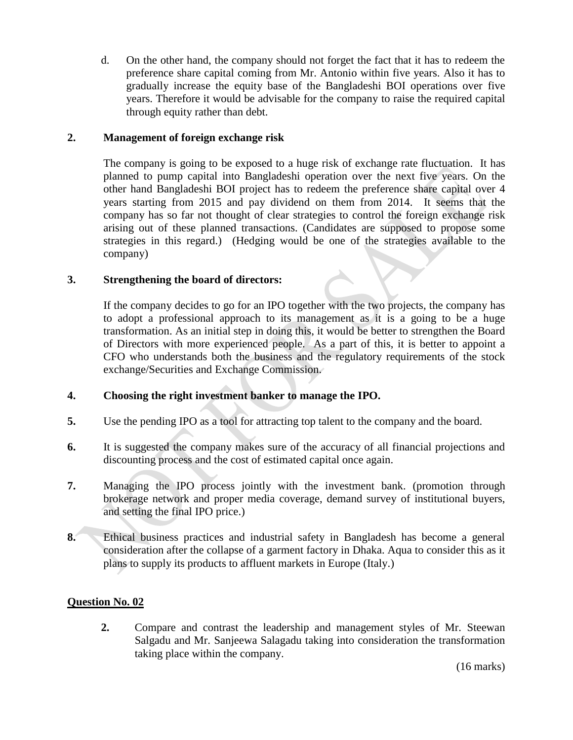d. On the other hand, the company should not forget the fact that it has to redeem the preference share capital coming from Mr. Antonio within five years. Also it has to gradually increase the equity base of the Bangladeshi BOI operations over five years. Therefore it would be advisable for the company to raise the required capital through equity rather than debt.

# **2. Management of foreign exchange risk**

The company is going to be exposed to a huge risk of exchange rate fluctuation. It has planned to pump capital into Bangladeshi operation over the next five years. On the other hand Bangladeshi BOI project has to redeem the preference share capital over 4 years starting from 2015 and pay dividend on them from 2014. It seems that the company has so far not thought of clear strategies to control the foreign exchange risk arising out of these planned transactions. (Candidates are supposed to propose some strategies in this regard.) (Hedging would be one of the strategies available to the company)

#### **3. Strengthening the board of directors:**

If the company decides to go for an IPO together with the two projects, the company has to adopt a professional approach to its management as it is a going to be a huge transformation. As an initial step in doing this, it would be better to strengthen the Board of Directors with more experienced people. As a part of this, it is better to appoint a CFO who understands both the business and the regulatory requirements of the stock exchange/Securities and Exchange Commission.

# **4. Choosing the right investment banker to manage the IPO.**

- **5.** Use the pending IPO as a tool for attracting top talent to the company and the board.
- **6.** It is suggested the company makes sure of the accuracy of all financial projections and discounting process and the cost of estimated capital once again.
- **7.** Managing the IPO process jointly with the investment bank. (promotion through brokerage network and proper media coverage, demand survey of institutional buyers, and setting the final IPO price.)
- **8.** Ethical business practices and industrial safety in Bangladesh has become a general consideration after the collapse of a garment factory in Dhaka. Aqua to consider this as it plans to supply its products to affluent markets in Europe (Italy.)

# **Question No. 02**

**2.** Compare and contrast the leadership and management styles of Mr. Steewan Salgadu and Mr. Sanjeewa Salagadu taking into consideration the transformation taking place within the company.

(16 marks)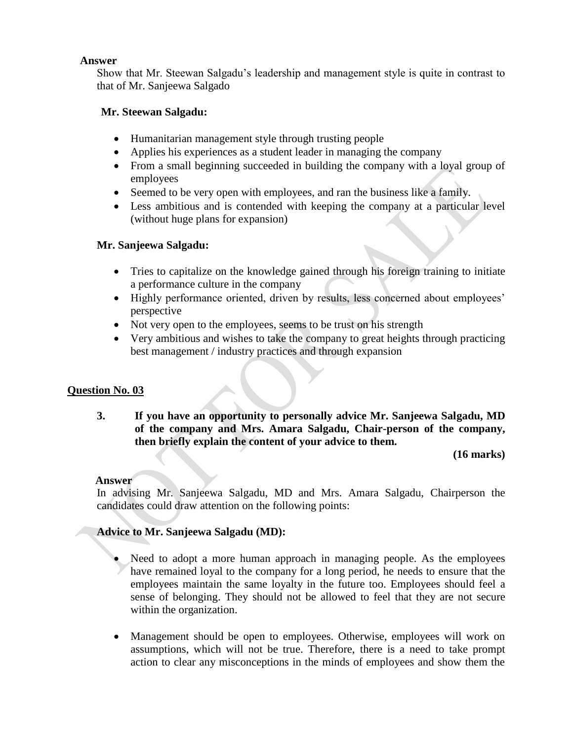#### **Answer**

Show that Mr. Steewan Salgadu's leadership and management style is quite in contrast to that of Mr. Sanjeewa Salgado

#### **Mr. Steewan Salgadu:**

- Humanitarian management style through trusting people
- Applies his experiences as a student leader in managing the company
- From a small beginning succeeded in building the company with a loyal group of employees
- Seemed to be very open with employees, and ran the business like a family.
- Less ambitious and is contended with keeping the company at a particular level (without huge plans for expansion)

# **Mr. Sanjeewa Salgadu:**

- Tries to capitalize on the knowledge gained through his foreign training to initiate a performance culture in the company
- Highly performance oriented, driven by results, less concerned about employees' perspective
- Not very open to the employees, seems to be trust on his strength
- Very ambitious and wishes to take the company to great heights through practicing best management / industry practices and through expansion

# **Question No. 03**

**3. If you have an opportunity to personally advice Mr. Sanjeewa Salgadu, MD of the company and Mrs. Amara Salgadu, Chair-person of the company, then briefly explain the content of your advice to them.** 

**(16 marks)**

#### **Answer**

In advising Mr. Sanjeewa Salgadu, MD and Mrs. Amara Salgadu, Chairperson the candidates could draw attention on the following points:

# **Advice to Mr. Sanjeewa Salgadu (MD):**

- Need to adopt a more human approach in managing people. As the employees have remained loyal to the company for a long period, he needs to ensure that the employees maintain the same loyalty in the future too. Employees should feel a sense of belonging. They should not be allowed to feel that they are not secure within the organization.
- Management should be open to employees. Otherwise, employees will work on assumptions, which will not be true. Therefore, there is a need to take prompt action to clear any misconceptions in the minds of employees and show them the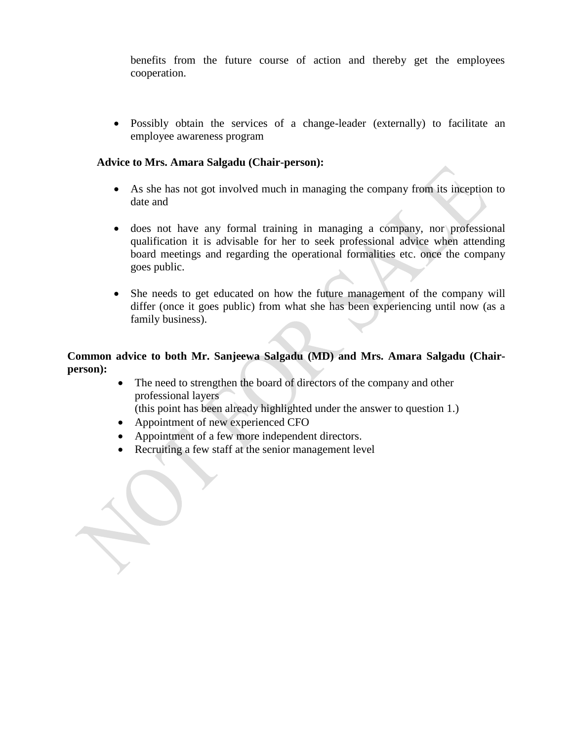benefits from the future course of action and thereby get the employees cooperation.

 Possibly obtain the services of a change-leader (externally) to facilitate an employee awareness program

#### **Advice to Mrs. Amara Salgadu (Chair-person):**

- As she has not got involved much in managing the company from its inception to date and
- does not have any formal training in managing a company, nor professional qualification it is advisable for her to seek professional advice when attending board meetings and regarding the operational formalities etc. once the company goes public.
- She needs to get educated on how the future management of the company will differ (once it goes public) from what she has been experiencing until now (as a family business).

#### **Common advice to both Mr. Sanjeewa Salgadu (MD) and Mrs. Amara Salgadu (Chairperson):**

• The need to strengthen the board of directors of the company and other professional layers

(this point has been already highlighted under the answer to question 1.)

- Appointment of new experienced CFO
- Appointment of a few more independent directors.
- Recruiting a few staff at the senior management level